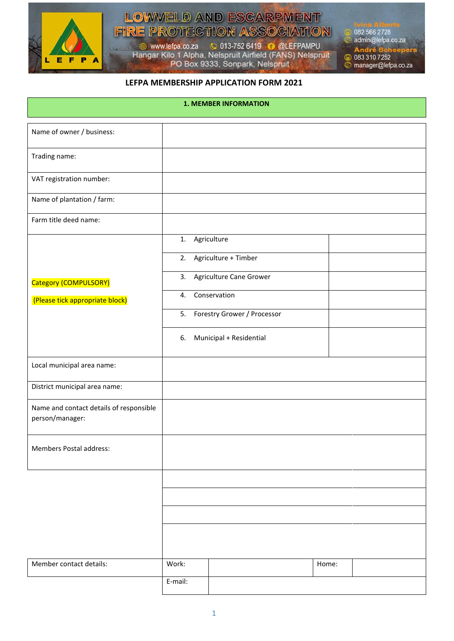

# LOWVELD AND ESCARPMENT **FIRE PROTECTION ASSOCIATION**

www.lefpa.co.za & 013-752 6419 & @LEFPAMPU<br>Hangar Kilo 1 Alpha, Nelspruit Airfield (FANS) Nelspruit<br>PO Box 9333, Sonpark, Nelspruit

082 566 2728 admin@lefpa.co.za André Sch<br>© 083 310 7252 manager@lefpa.co.za

#### **LEFPA MEMBERSHIP APPLICATION FORM 2021**

| <b>1. MEMBER INFORMATION</b>                               |                 |                                |       |  |  |
|------------------------------------------------------------|-----------------|--------------------------------|-------|--|--|
| Name of owner / business:                                  |                 |                                |       |  |  |
| Trading name:                                              |                 |                                |       |  |  |
| VAT registration number:                                   |                 |                                |       |  |  |
| Name of plantation / farm:                                 |                 |                                |       |  |  |
| Farm title deed name:                                      |                 |                                |       |  |  |
|                                                            | 1. Agriculture  |                                |       |  |  |
|                                                            |                 | 2. Agriculture + Timber        |       |  |  |
| Category (COMPULSORY)                                      |                 | 3. Agriculture Cane Grower     |       |  |  |
| (Please tick appropriate block)                            | 4. Conservation |                                |       |  |  |
|                                                            |                 | 5. Forestry Grower / Processor |       |  |  |
|                                                            | 6.              | Municipal + Residential        |       |  |  |
| Local municipal area name:                                 |                 |                                |       |  |  |
| District municipal area name:                              |                 |                                |       |  |  |
| Name and contact details of responsible<br>person/manager: |                 |                                |       |  |  |
| Members Postal address:                                    |                 |                                |       |  |  |
|                                                            |                 |                                |       |  |  |
|                                                            |                 |                                |       |  |  |
|                                                            |                 |                                |       |  |  |
|                                                            |                 |                                |       |  |  |
| Member contact details:                                    | Work:           |                                | Home: |  |  |
|                                                            | E-mail:         |                                |       |  |  |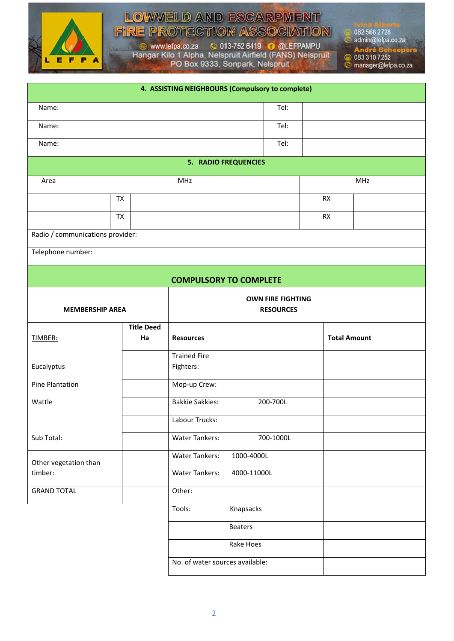

#### LOWVELD AND ESCARPMENT **FIRE PROTECTION ASSOCIATION**

www.lefpa.co.za & 013-752 6419 & @LEFPAMPU<br>Hangar Kilo 1 Alpha, Nelspruit Airfield (FANS) Nelspruit<br>PO Box 9333, Sonpark, Nelspruit

082 566 2728

admin@lefpa.co.za

André Sch<br>© 083 310 7252

manager@lefpa.co.za

|                                  |                                  |                         | 4. ASSISTING NEIGHBOURS (Compulsory to complete) |                          |                     |  |
|----------------------------------|----------------------------------|-------------------------|--------------------------------------------------|--------------------------|---------------------|--|
| Name:                            |                                  |                         |                                                  | Tel:                     |                     |  |
| Name:                            | Tel:                             |                         |                                                  |                          |                     |  |
| Name:                            |                                  |                         |                                                  | Tel:                     |                     |  |
|                                  |                                  |                         | <b>5. RADIO FREQUENCIES</b>                      |                          |                     |  |
| Area                             | MHz                              |                         |                                                  |                          | MHz                 |  |
|                                  | <b>TX</b>                        |                         |                                                  | <b>RX</b>                |                     |  |
|                                  | <b>TX</b>                        |                         | <b>RX</b>                                        |                          |                     |  |
|                                  | Radio / communications provider: |                         |                                                  |                          |                     |  |
| Telephone number:                |                                  |                         |                                                  |                          |                     |  |
|                                  |                                  |                         | <b>COMPULSORY TO COMPLETE</b>                    |                          |                     |  |
|                                  |                                  |                         |                                                  | <b>OWN FIRE FIGHTING</b> |                     |  |
| <b>MEMBERSHIP AREA</b>           |                                  | <b>RESOURCES</b>        |                                                  |                          |                     |  |
|                                  |                                  | <b>Title Deed</b><br>Ha | <b>Resources</b>                                 |                          | <b>Total Amount</b> |  |
| TIMBER:                          |                                  |                         |                                                  |                          |                     |  |
|                                  |                                  |                         | <b>Trained Fire</b>                              |                          |                     |  |
|                                  |                                  |                         |                                                  |                          |                     |  |
| Eucalyptus                       |                                  |                         | Fighters:                                        |                          |                     |  |
| Pine Plantation                  |                                  |                         | Mop-up Crew:                                     |                          |                     |  |
| Wattle                           |                                  |                         | <b>Bakkie Sakkies:</b>                           | 200-700L                 |                     |  |
|                                  |                                  |                         | Labour Trucks:                                   |                          |                     |  |
| Sub Total:                       |                                  |                         | <b>Water Tankers:</b>                            | 700-1000L                |                     |  |
|                                  |                                  |                         | <b>Water Tankers:</b><br>1000-4000L              |                          |                     |  |
| Other vegetation than<br>timber: |                                  |                         | <b>Water Tankers:</b><br>4000-11000L             |                          |                     |  |
| <b>GRAND TOTAL</b>               |                                  |                         | Other:                                           |                          |                     |  |
|                                  |                                  |                         | Tools:<br>Knapsacks                              |                          |                     |  |
|                                  |                                  |                         | <b>Beaters</b>                                   |                          |                     |  |
|                                  |                                  |                         | Rake Hoes                                        |                          |                     |  |
|                                  |                                  |                         | No. of water sources available:                  |                          |                     |  |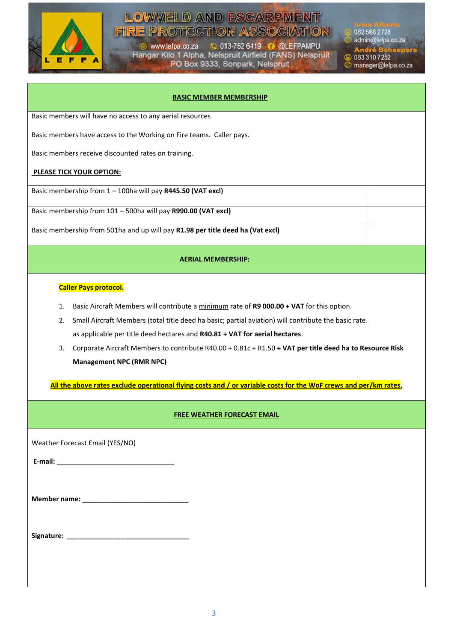

### **LOWWELD AND ESCARPMENT FIRE PROTECTION ASSOCIATION**

www.lefpa.co.za 
C 013-752 6419 
C @LEFPAMPU<br>
Hangar Kilo 1 Alpha, Nelspruit Airfield (FANS) Nelspruit<br>
PO Box 9333, Sonpark, Nelspruit

082 566 2728 admin@lefpa.co.za

André Sch<br>© 083 310 7252

manager@lefpa.co.za

| <b>BASIC MEMBER MEMBERSHIP</b>                                                                                   |  |  |  |  |  |
|------------------------------------------------------------------------------------------------------------------|--|--|--|--|--|
| Basic members will have no access to any aerial resources                                                        |  |  |  |  |  |
| Basic members have access to the Working on Fire teams. Caller pays.                                             |  |  |  |  |  |
| Basic members receive discounted rates on training.                                                              |  |  |  |  |  |
| <b>PLEASE TICK YOUR OPTION:</b>                                                                                  |  |  |  |  |  |
| Basic membership from 1 - 100ha will pay R445.50 (VAT excl)                                                      |  |  |  |  |  |
| Basic membership from 101 - 500ha will pay R990.00 (VAT excl)                                                    |  |  |  |  |  |
| Basic membership from 501ha and up will pay R1.98 per title deed ha (Vat excl)                                   |  |  |  |  |  |
| <b>AERIAL MEMBERSHIP:</b>                                                                                        |  |  |  |  |  |
| <b>Caller Pays protocol.</b>                                                                                     |  |  |  |  |  |
| Basic Aircraft Members will contribute a minimum rate of R9 000.00 + VAT for this option.<br>1.                  |  |  |  |  |  |
| Small Aircraft Members (total title deed ha basic; partial aviation) will contribute the basic rate.<br>2.       |  |  |  |  |  |
| as applicable per title deed hectares and R40.81 + VAT for aerial hectares.                                      |  |  |  |  |  |
| Corporate Aircraft Members to contribute R40.00 + 0.81c + R1.50 + VAT per title deed ha to Resource Risk<br>3.   |  |  |  |  |  |
| <b>Management NPC (RMR NPC)</b>                                                                                  |  |  |  |  |  |
| All the above rates exclude operational flying costs and / or variable costs for the WoF crews and per/km rates. |  |  |  |  |  |
| <b>FREE WEATHER FORECAST EMAIL</b>                                                                               |  |  |  |  |  |
| Weather Forecast Email (YES/NO)                                                                                  |  |  |  |  |  |
|                                                                                                                  |  |  |  |  |  |
|                                                                                                                  |  |  |  |  |  |
|                                                                                                                  |  |  |  |  |  |
|                                                                                                                  |  |  |  |  |  |
|                                                                                                                  |  |  |  |  |  |
|                                                                                                                  |  |  |  |  |  |
|                                                                                                                  |  |  |  |  |  |
|                                                                                                                  |  |  |  |  |  |
|                                                                                                                  |  |  |  |  |  |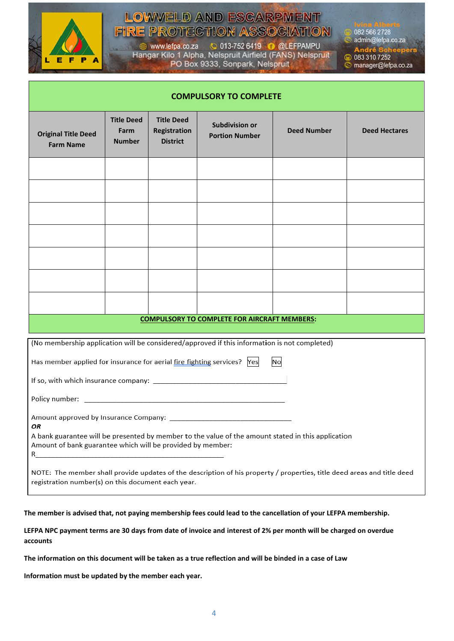

### **LOWWELD AND ESCARPMENT FIRE PROTECTION ASSOCIATION**

C 013-752 6419 **O** @LEFPAMPU www.lefpa.co.za Hangar Kilo 1 Alpha, Nelspruit Airfield (FANS) Nelspruit<br>PO Box 9333, Sonpark, Nelspruit

082 566 2728 admin@lefpa.co.za 083 310 7252  $\bullet$ manager@lefpa.co.za

| <b>COMPULSORY TO COMPLETE</b>                                                                                                                                                 |                                            |                                                      |                                                |                    |                      |  |
|-------------------------------------------------------------------------------------------------------------------------------------------------------------------------------|--------------------------------------------|------------------------------------------------------|------------------------------------------------|--------------------|----------------------|--|
| <b>Original Title Deed</b><br><b>Farm Name</b>                                                                                                                                | <b>Title Deed</b><br>Farm<br><b>Number</b> | <b>Title Deed</b><br>Registration<br><b>District</b> | <b>Subdivision or</b><br><b>Portion Number</b> | <b>Deed Number</b> | <b>Deed Hectares</b> |  |
|                                                                                                                                                                               |                                            |                                                      |                                                |                    |                      |  |
|                                                                                                                                                                               |                                            |                                                      |                                                |                    |                      |  |
|                                                                                                                                                                               |                                            |                                                      |                                                |                    |                      |  |
|                                                                                                                                                                               |                                            |                                                      |                                                |                    |                      |  |
|                                                                                                                                                                               |                                            |                                                      |                                                |                    |                      |  |
|                                                                                                                                                                               |                                            |                                                      |                                                |                    |                      |  |
|                                                                                                                                                                               |                                            |                                                      |                                                |                    |                      |  |
| <b>COMPULSORY TO COMPLETE FOR AIRCRAFT MEMBERS:</b>                                                                                                                           |                                            |                                                      |                                                |                    |                      |  |
| (No membership application will be considered/approved if this information is not completed)                                                                                  |                                            |                                                      |                                                |                    |                      |  |
| No<br>Has member applied for insurance for aerial fire fighting services?  Yes                                                                                                |                                            |                                                      |                                                |                    |                      |  |
|                                                                                                                                                                               |                                            |                                                      |                                                |                    |                      |  |
|                                                                                                                                                                               |                                            |                                                      |                                                |                    |                      |  |
| OR                                                                                                                                                                            |                                            |                                                      |                                                |                    |                      |  |
| A bank guarantee will be presented by member to the value of the amount stated in this application<br>Amount of bank guarantee which will be provided by member:              |                                            |                                                      |                                                |                    |                      |  |
| NOTE: The member shall provide updates of the description of his property / properties, title deed areas and title deed<br>registration number(s) on this document each year. |                                            |                                                      |                                                |                    |                      |  |

**The member is advised that, not paying membership fees could lead to the cancellation of your LEFPA membership.**

**LEFPA NPC payment terms are 30 days from date of invoice and interest of 2% per month will be charged on overdue accounts**

**The information on this document will be taken as a true reflection and will be binded in a case of Law**

**Information must be updated by the member each year.**